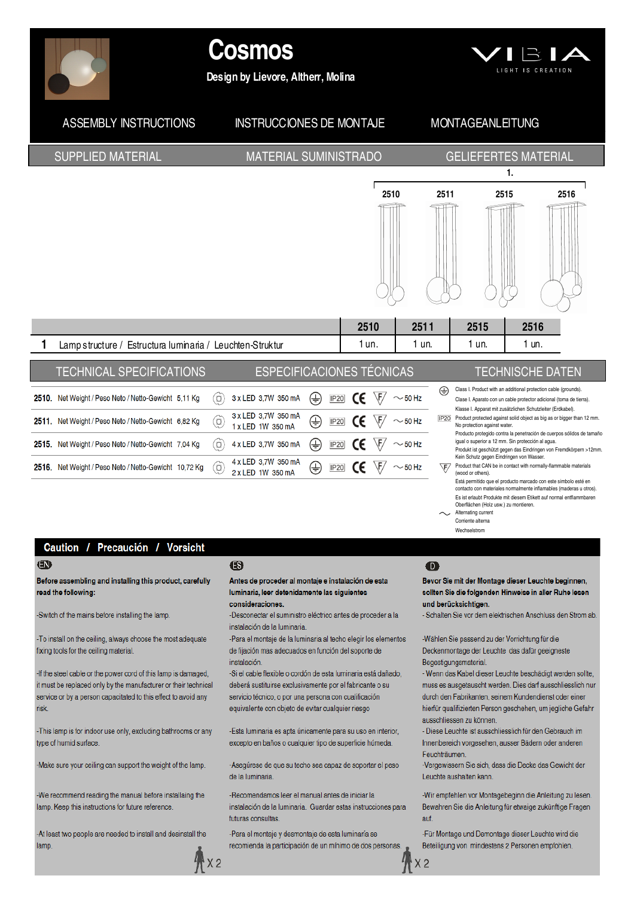

# **Cosmos**

Design by Lievore, Altherr, Molina



#### **ASSEMBLY INSTRUCTIONS INSTRUCCIONES DE MONTAJE MONTAGEANLEITUNG SUPPLIED MATERIAL MATERIAL SUMINISTRADO GELIEFERTES MATERIAL**  $\mathbf{1}$ 2510 2511 2515 2516 2510 2511 2515 2516 1  $1$  un.  $1 \text{ in}$  $1 \text{ un}$  $1 \text{ in}$ Lampstructure / Estructura luminaria / Leuchten-Struktur **TECHNICAL SPECIFICATIONS ESPECIFICACIONES TÉCNICAS TECHNISCHE DATEN** Class I. Product with an additional protection cable (grounds) ⊕ ⊕  $\sqrt{F}/\sim$  50 Hz 2510. Net Weight / Peso Neto / Netto-Gewicht 5,11 Kg  $\circ$ 3 x LED 3,7W 350 mA **IP20** CE Clase L Anarato con un cable protector adicional (toma de tierra) Klasse I. Apparat mit zusätzlichen Schutzleiter (Erdkabel). 3 x LED 3,7W 350 mA  $IP20$ Product protected against solid object as big as or bigger than 12 mm. ⊕ 2511. Net Weight / Peso Neto / Netto-Gewicht 6,82 Kg  $\omega$ **IP20**  $\sim$  50 Hz 1 x LED 1W 350 mA No protection against water. Producto protegido contra la penetración de cuerpos sólidos de tamaño ⊕ iqual o superior a 12 mm. Sin protección al aqua 2515. Net Weight / Peso Neto / Netto-Gewicht 7,04 Kg 4 x LED 3,7W 350 mA  $\sim$  50 Hz  $\circ$ **IP20** Produkt ist geschützt gegen das Eindringen von Fremdkörpern >12mm.<br>Kein Schutz gegen Eindringen von Wasser. 4 x LED 3,7W 350 mA

Product that CAN be in contact with normally-fla aable materiale  $\sqrt{F}$ (wood or others). Está permitido que el producto marcado con este simbolo esté en

contacto con materiales normalmente inflamables (maderas u otros) Es ist erlaubt Produkte mit diesem Etikett auf normal entflammbaren Oberflächen (Holz usw.) zu montieren

. Alternating current

Corriente alterna Wechselstrom

#### Caution / Precaución / Vorsicht

2516. Net Weight / Peso Neto / Netto-Gewicht 10,72 Kg

#### $\bigoplus$

Before assembling and installing this product, carefully read the following:

-Switch of the mains before installing the lamp.

-To install on the ceiling, always choose the most adequate fixing tools for the ceiling material

-If the steel cable or the power cord of this lamp is damaged, it must be replaced only by the manufacturer or their technical service or by a person capacitated to this effect to avoid any **risk** 

-This lamp is for indoor use only, excluding bathrooms or any type of humid surface

-Make sure your ceiling can support the weight of the lamp.

-We recommend reading the manual before installaing the lamp. Keep this instructions for future reference.

-At least two people are needed to install and desinstall the lamp.

### ß

2 x LED 1W 350 mA

 $\omega$ 

#### Antes de proceder al montaje e instalación de esta luminaria, leer detenidamente las siguientes consideraciones

⇔

**IP20** 

 $\sqrt{F}$ 

 $\sim$  50 Hz

-Desconectar el suministro eléctrico antes de proceder a la instalación de la luminaria

-Para el montaje de la luminaria al techo elegir los elementos de fijación mas adecuados en función del soporte de instalación

-Si el cable flexible o cordón de esta luminaria está dañado, deberá sustituirse exclusivamente por el fabricante o su servicio técnico, o por una persona con cualificación equivalente con objeto de evitar cualquier riesgo

-Esta luminaria es apta únicamente para su uso en interior. excepto en baños o cualquier tipo de superficie húmeda.

-Asegúrese de que su techo sea capaz de soportar el peso de la luminaria

-Recomendamos leer el manual antes de iniciar la instalación de la luminaria. Guardar estas instrucciones para futuras consultas

-Para el montaje y desmontaje de esta luminaría se recomienda la participación de un mínimo de dos personas.

## $\bullet$

 $X<sub>2</sub>$ 

Bevor Sie mit der Montage dieser Leuchte beginnen. sollten Sie die folgenden Hinweise in aller Ruhe lesen und berücksichtigen.

- Schalten Sie vor dem elektrischen Anschluss den Strom ab.

-Wählen Sie passend zu der Vorrichtung für die Deckenmontage der Leuchte das dafür geeigneste Begestigungsmaterial

- Wenn das Kabel dieser Leuchte beschädigt werden sollte, muss es ausgetauscht werden. Dies darf ausschliesslich nur durch den Fabrikanten, seinem Kundendienst oder einer hierfür qualifizierten Person geschehen, um jegliche Gefahr ausschliessen zu können.

- Diese Leuchte ist ausschliesslich für den Gebrauch im Innenbereich vorgesehen, ausser Bädern oder anderen Feuchträumen.

Vergewissern Sie sich, dass die Decke das Gewicht der Leuchte aushalten kann

-Wir empfehlen vor Montagebeginn die Anleitung zu lesen. Bewahren Sie die Anleitung für etwaige zukünftige Fragen auf.

-Für Montage und Demontage dieser Leuchte wird die Beteiligung von mindestens 2 Personen empfohlen.

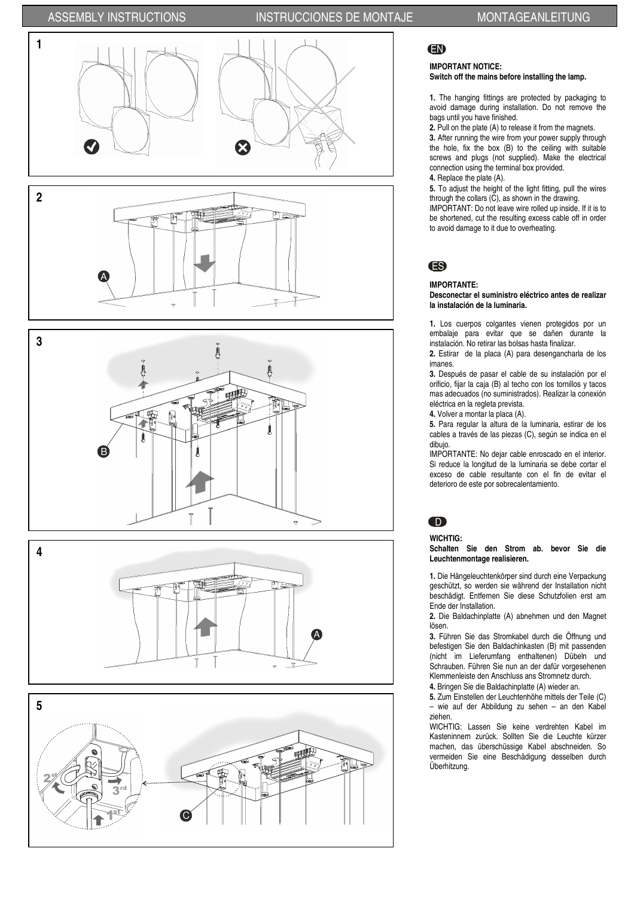## ASSEMBLY INSTRUCTIONS INSTRUCCIONES DE MONTAJE MONTAGEANLEITUNG













## EN

## IMPORTANT NOTICE:

### Switch off the mains before installing the lamp.

1. The hanging fittings are protected by packaging to avoid damage during installation. Do not remove the bags until you have finished.

2. Pull on the plate (A) to release it from the magnets.

3. After running the wire from your power supply through the hole, fix the box (B) to the ceiling with suitable screws and plugs (not supplied). Make the electrical connection using the terminal box provided.

4. Replace the plate (A).

5. To adjust the height of the light fitting, pull the wires through the collars (C), as shown in the drawing. IMPORTANT: Do not leave wire rolled up inside. If it is to

be shortened, cut the resulting excess cable off in order to avoid damage to it due to overheating.

## ES

#### IMPORTANTE:

Desconectar el suministro eléctrico antes de realizar la instalación de la luminaria.

1. Los cuerpos colgantes vienen protegidos por un embalaje para evitar que se dañen durante la instalación. No retirar las bolsas hasta finalizar.

2. Estirar de la placa (A) para desengancharla de los imanes.

3. Después de pasar el cable de su instalación por el orificio, fijar la caja (B) al techo con los tornillos y tacos mas adecuados (no suministrados). Realizar la conexión eléctrica en la regleta prevista.

4. Volver a montar la placa (A).

5. Para regular la altura de la luminaria, estirar de los cables a través de las piezas (C), según se indica en el dibujo.

IMPORTANTE: No dejar cable enroscado en el interior. Si reduce la longitud de la luminaria se debe cortar el exceso de cable resultante con el fin de evitar el deterioro de este por sobrecalentamiento.

## D

WICHTIG:

Schalten Sie den Strom ab. bevor Sie die Leuchtenmontage realisieren.

1. Die Hängeleuchtenkörper sind durch eine Verpackung geschützt, so werden sie während der Installation nicht beschädigt. Entfernen Sie diese Schutzfolien erst am Ende der Installation.

2. Die Baldachinplatte (A) abnehmen und den Magnet lösen.

3. Führen Sie das Stromkabel durch die Öffnung und befestigen Sie den Baldachinkasten (B) mit passenden (nicht im Lieferumfang enthaltenen) Dübeln und Schrauben. Führen Sie nun an der dafür vorgesehenen Klemmenleiste den Anschluss ans Stromnetz durch.

4. Bringen Sie die Baldachinplatte (A) wieder an.

5. Zum Einstellen der Leuchtenhöhe mittels der Teile (C) – wie auf der Abbildung zu sehen – an den Kabel ziehen.

WICHTIG: Lassen Sie keine verdrehten Kabel im Kasteninnern zurück. Sollten Sie die Leuchte kürzer machen, das überschüssige Kabel abschneiden. So vermeiden Sie eine Beschädigung desselben durch Überhitzung.